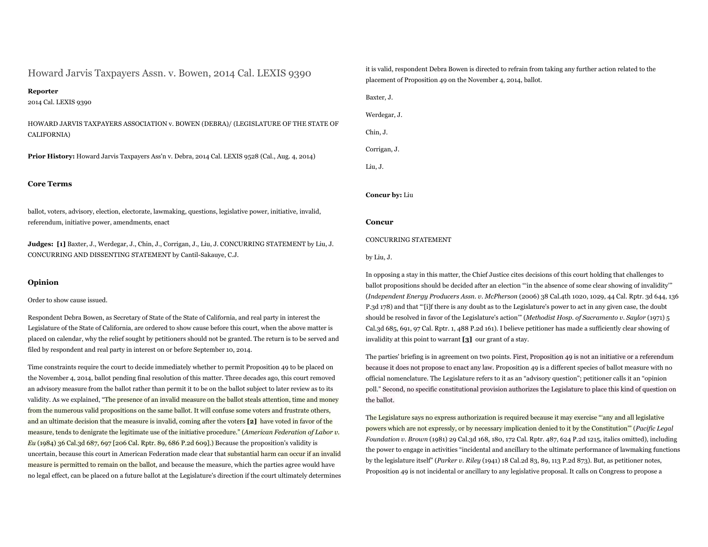Howard Jarvis Taxpayers Assn. v. Bowen, 2014 Cal. LEXIS 9390

# **Reporter**

2014 Cal. LEXIS 9390

HOWARD JARVIS TAXPAYERS ASSOCIATION v. BOWEN (DEBRA)/ (LEGISLATURE OF THE STATE OF CALIFORNIA)

**Prior History:** Howard Jarvis Taxpayers Ass'n v. Debra, 2014 Cal. LEXIS 9528 (Cal., Aug. 4, 2014)

# **Core Terms**

ballot, voters, advisory, election, electorate, lawmaking, questions, legislative power, initiative, invalid, referendum, initiative power, amendments, enact

**Judges: [1]** Baxter, J., Werdegar, J., Chin, J., Corrigan, J., Liu, J. CONCURRING STATEMENT by Liu, J. CONCURRING AND DISSENTING STATEMENT by Cantil-Sakauye, C.J.

## **Opinion**

Order to show cause issued.

Respondent Debra Bowen, as Secretary of State of the State of California, and real party in interest the Legislature of the State of California, are ordered to show cause before this court, when the above matter is placed on calendar, why the relief sought by petitioners should not be granted. The return is to be served and filed by respondent and real party in interest on or before September 10, 2014.

Time constraints require the court to decide immediately whether to permit Proposition 49 to be placed on the November 4, 2014, ballot pending final resolution of this matter. Three decades ago, this court removed an advisory measure from the ballot rather than permit it to be on the ballot subject to later review as to its validity. As we explained, "The presence of an invalid measure on the ballot steals attention, time and money from the numerous valid propositions on the same ballot. It will confuse some voters and frustrate others, and an ultimate decision that the measure is invalid, coming after the voters **[2]** have voted in favor of the measure, tends to denigrate the legitimate use of the initiative procedure." (*American Federation of Labor v. Eu* (1984) 36 Cal.3d 687, 697 [206 Cal. Rptr. 89, 686 P.2d 609].) Because the proposition's validity is uncertain, because this court in American Federation made clear that substantial harm can occur if an invalid measure is permitted to remain on the ballot, and because the measure, which the parties agree would have no legal effect, can be placed on a future ballot at the Legislature's direction if the court ultimately determines it is valid, respondent Debra Bowen is directed to refrain from taking any further action related to the placement of Proposition 49 on the November 4, 2014, ballot.

Baxter, J. Werdegar, J. Chin, J. Corrigan, J. Liu, J.

**Concur by:** Liu

# **Concur**

### CONCURRING STATEMENT

### by Liu, J.

In opposing a stay in this matter, the Chief Justice cites decisions of this court holding that challenges to ballot propositions should be decided after an election "'in the absence of some clear showing of invalidity'" (*Independent Energy Producers Assn. v. McPherson* (2006) 38 Cal.4th 1020, 1029, 44 Cal. Rptr. 3d 644, 136 P.3d 178) and that "'[i]f there is any doubt as to the Legislature's power to act in any given case, the doubt should be resolved in favor of the Legislature's action'" (*Methodist Hosp. of Sacramento v. Saylor* (1971) 5 Cal.3d 685, 691, 97 Cal. Rptr. 1, 488 P.2d 161). I believe petitioner has made a sufficiently clear showing of invalidity at this point to warrant **[3]** our grant of a stay.

The parties' briefing is in agreement on two points. First, Proposition 49 is not an initiative or a referendum because it does not propose to enact any law. Proposition 49 is a different species of ballot measure with no official nomenclature. The Legislature refers to it as an "advisory question"; petitioner calls it an "opinion poll." Second, no specific constitutional provision authorizes the Legislature to place this kind of question on the ballot.

The Legislature says no express authorization is required because it may exercise "'any and all legislative powers which are not expressly, or by necessary implication denied to it by the Constitution'" (*Pacific Legal Foundation v. Brown* (1981) 29 Cal.3d 168, 180, 172 Cal. Rptr. 487, 624 P.2d 1215, italics omitted), including the power to engage in activities "incidental and ancillary to the ultimate performance of lawmaking functions by the legislature itself" (*Parker v. Riley* (1941) 18 Cal.2d 83, 89, 113 P.2d 873). But, as petitioner notes, Proposition 49 is not incidental or ancillary to any legislative proposal. It calls on Congress to propose a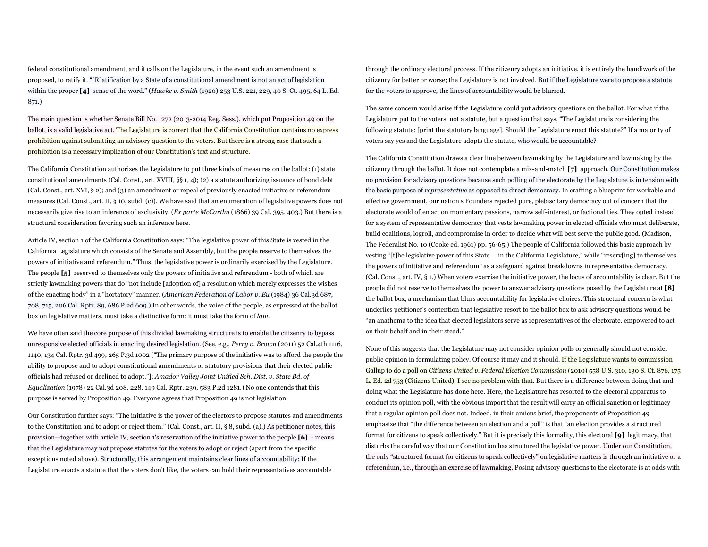federal constitutional amendment, and it calls on the Legislature, in the event such an amendment is proposed, to ratify it. "[R]atification by a State of a constitutional amendment is not an act of legislation within the proper **[4]** sense of the word." (*Hawke v. Smith* (1920) 253 U.S. 221, 229, 40 S. Ct. 495, 64 L. Ed. 871.)

The main question is whether Senate Bill No. 1272 (2013-2014 Reg. Sess.), which put Proposition 49 on the ballot, is a valid legislative act. The Legislature is correct that the California Constitution contains no express prohibition against submitting an advisory question to the voters. But there is a strong case that such a prohibition is a necessary implication of our Constitution's text and structure.

The California Constitution authorizes the Legislature to put three kinds of measures on the ballot: (1) state constitutional amendments (Cal. Const., art. XVIII, §§ 1, 4); (2) a statute authorizing issuance of bond debt (Cal. Const., art. XVI, § 2); and (3) an amendment or repeal of previously enacted initiative or referendum measures (Cal. Const., art. II, § 10, subd. (c)). We have said that an enumeration of legislative powers does not necessarily give rise to an inference of exclusivity. (*Ex parte McCarthy* (1866) 39 Cal. 395, 403.) But there is a structural consideration favoring such an inference here.

Article IV, section 1 of the California Constitution says: "The legislative power of this State is vested in the California Legislature which consists of the Senate and Assembly, but the people reserve to themselves the powers of initiative and referendum." Thus, the legislative power is ordinarily exercised by the Legislature. The people **[5]** reserved to themselves only the powers of initiative and referendum - both of which are strictly lawmaking powers that do "not include [adoption of] a resolution which merely expresses the wishes of the enacting body" in a "hortatory" manner. (*American Federation of Labor v. Eu* (1984) 36 Cal.3d 687, 708, 715, 206 Cal. Rptr. 89, 686 P.2d 609.) In other words, the voice of the people, as expressed at the ballot box on legislative matters, must take a distinctive form: it must take the form of *law*.

We have often said the core purpose of this divided lawmaking structure is to enable the citizenry to bypass unresponsive elected officials in enacting desired legislation. (See, e.g., *Perry v. Brown* (2011) 52 Cal.4th 1116, 1140, 134 Cal. Rptr. 3d 499, 265 P.3d 1002 ["The primary purpose of the initiative was to afford the people the ability to propose and to adopt constitutional amendments or statutory provisions that their elected public officials had refused or declined to adopt."]; *Amador Valley Joint Unified Sch. Dist. v. State Bd. of Equalization* (1978) 22 Cal.3d 208, 228, 149 Cal. Rptr. 239, 583 P.2d 1281.) No one contends that this purpose is served by Proposition 49. Everyone agrees that Proposition 49 is not legislation.

Our Constitution further says: "The initiative is the power of the electors to propose statutes and amendments to the Constitution and to adopt or reject them." (Cal. Const., art. II, § 8, subd. (a).) As petitioner notes, this provision—together with article IV, section 1's reservation of the initiative power to the people **[6]** - means that the Legislature may not propose statutes for the voters to adopt or reject (apart from the specific exceptions noted above). Structurally, this arrangement maintains clear lines of accountability: If the Legislature enacts a statute that the voters don't like, the voters can hold their representatives accountable

through the ordinary electoral process. If the citizenry adopts an initiative, it is entirely the handiwork of the citizenry for better or worse; the Legislature is not involved. But if the Legislature were to propose a statute for the voters to approve, the lines of accountability would be blurred.

The same concern would arise if the Legislature could put advisory questions on the ballot. For what if the Legislature put to the voters, not a statute, but a question that says, "The Legislature is considering the following statute: [print the statutory language]. Should the Legislature enact this statute?" If a majority of voters say yes and the Legislature adopts the statute, who would be accountable?

The California Constitution draws a clear line between lawmaking by the Legislature and lawmaking by the citizenry through the ballot. It does not contemplate a mix-and-match **[7]** approach. Our Constitution makes no provision for advisory questions because such polling of the electorate by the Legislature is in tension with the basic purpose of *representative* as opposed to direct democracy. In crafting a blueprint for workable and effective government, our nation's Founders rejected pure, plebiscitary democracy out of concern that the electorate would often act on momentary passions, narrow self-interest, or factional ties. They opted instead for a system of representative democracy that vests lawmaking power in elected officials who must deliberate, build coalitions, logroll, and compromise in order to decide what will best serve the public good. (Madison, The Federalist No. 10 (Cooke ed. 1961) pp. 56-65.) The people of California followed this basic approach by vesting "[t]he legislative power of this State … in the California Legislature," while "reserv[ing] to themselves the powers of initiative and referendum" as a safeguard against breakdowns in representative democracy. (Cal. Const., art. IV, § 1.) When voters exercise the initiative power, the locus of accountability is clear. But the people did not reserve to themselves the power to answer advisory questions posed by the Legislature at **[8]**  the ballot box, a mechanism that blurs accountability for legislative choices. This structural concern is what underlies petitioner's contention that legislative resort to the ballot box to ask advisory questions would be "an anathema to the idea that elected legislators serve as representatives of the electorate, empowered to act on their behalf and in their stead."

None of this suggests that the Legislature may not consider opinion polls or generally should not consider public opinion in formulating policy. Of course it may and it should. If the Legislature wants to commission Gallup to do a poll on *Citizens United v. Federal Election Commission* (2010) 558 U.S. 310, 130 S. Ct. 876, 175 L. Ed. 2d 753 (Citizens United), I see no problem with that. But there is a difference between doing that and doing what the Legislature has done here. Here, the Legislature has resorted to the electoral apparatus to conduct its opinion poll, with the obvious import that the result will carry an official sanction or legitimacy that a regular opinion poll does not. Indeed, in their amicus brief, the proponents of Proposition 49 emphasize that "the difference between an election and a poll" is that "an election provides a structured format for citizens to speak collectively." But it is precisely this formality, this electoral **[9]** legitimacy, that disturbs the careful way that our Constitution has structured the legislative power. Under our Constitution, the only "structured format for citizens to speak collectively" on legislative matters is through an initiative or a referendum, i.e., through an exercise of lawmaking. Posing advisory questions to the electorate is at odds with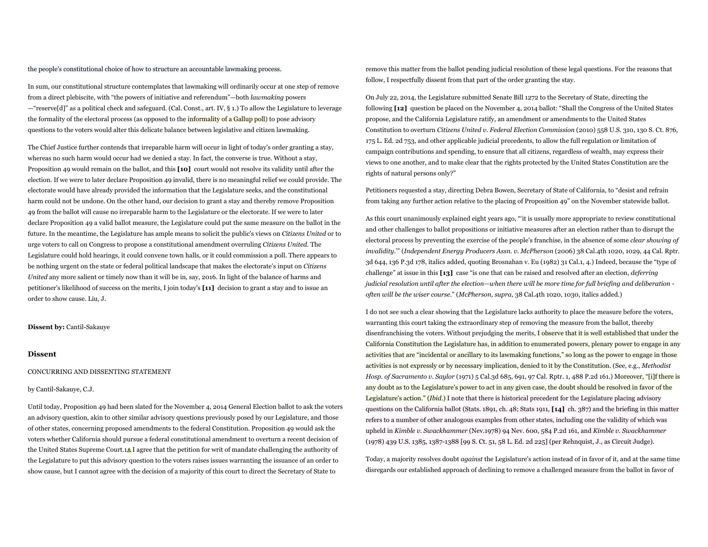the people's constitutional choice of how to structure an accountable lawmaking process.

In sum, our constitutional structure contemplates that lawmaking will ordinarily occur at one step of remove from a direct plebiscite, with "the powers of initiative and referendum"—both *lawmaking* powers —"reserve[d]" as a political check and safeguard. (Cal. Const., art. IV, § 1.) To allow the Legislature to leverage the formality of the electoral process (as opposed to the informality of a Gallup poll) to pose advisory questions to the voters would alter this delicate balance between legislative and citizen lawmaking.

The Chief Justice further contends that irreparable harm will occur in light of today's order granting a stay, whereas no such harm would occur had we denied a stay. In fact, the converse is true. Without a stay, Proposition 49 would remain on the ballot, and this **[10]** court would not resolve its validity until after the election. If we were to later declare Proposition 49 invalid, there is no meaningful relief we could provide. The electorate would have already provided the information that the Legislature seeks, and the constitutional harm could not be undone. On the other hand, our decision to grant a stay and thereby remove Proposition 49 from the ballot will cause no irreparable harm to the Legislature or the electorate. If we were to later declare Proposition 49 a valid ballot measure, the Legislature could put the same measure on the ballot in the future. In the meantime, the Legislature has ample means to solicit the public's views on *Citizens United* or to urge voters to call on Congress to propose a constitutional amendment overruling *Citizens United*. The Legislature could hold hearings, it could convene town halls, or it could commission a poll. There appears to be nothing urgent on the state or federal political landscape that makes the electorate's input on *Citizens United* any more salient or timely now than it will be in, say, 2016. In light of the balance of harms and petitioner's likelihood of success on the merits, I join today's **[11]** decision to grant a stay and to issue an order to show cause. Liu, J.

## **Dissent by:** Cantil-Sakauye

# **Dissent**

## CONCURRING AND DISSENTING STATEMENT

### by Cantil-Sakauye, C.J.

Until today, Proposition 49 had been slated for the November 4, 2014 General Election ballot to ask the voters an advisory question, akin to other similar advisory questions previously posed by our Legislature, and those of other states, concerning proposed amendments to the federal Constitution. Proposition 49 would ask the voters whether California should pursue a federal constitutional amendment to overturn a recent decision of the United States Supreme Court.<sup>1</sup> I agree that the petition for writ of mandate challenging the authority of the Legislature to put this advisory question to the voters raises issues warranting the issuance of an order to show cause, but I cannot agree with the decision of a majority of this court to direct the Secretary of State to

remove this matter from the ballot pending judicial resolution of these legal questions. For the reasons that follow, I respectfully dissent from that part of the order granting the stay.

On July 22, 2014, the Legislature submitted Senate Bill 1272 to the Secretary of State, directing the following **[12]** question be placed on the November 4, 2014 ballot: "Shall the Congress of the United States propose, and the California Legislature ratify, an amendment or amendments to the United States Constitution to overturn *Citizens United v. Federal Election Commission* (2010) 558 U.S. 310, 130 S. Ct. 876, 175 L. Ed. 2d 753, and other applicable judicial precedents, to allow the full regulation or limitation of campaign contributions and spending, to ensure that all citizens, regardless of wealth, may express their views to one another, and to make clear that the rights protected by the United States Constitution are the rights of natural persons only?"

Petitioners requested a stay, directing Debra Bowen, Secretary of State of California, to "desist and refrain from taking any further action relative to the placing of Proposition 49" on the November statewide ballot.

As this court unanimously explained eight years ago, "'it is usually more appropriate to review constitutional and other challenges to ballot propositions or initiative measures after an election rather than to disrupt the electoral process by preventing the exercise of the people's franchise, in the absence of some *clear showing of invalidity*.'" (*Independent Energy Producers Assn. v. McPherson* (2006) 38 Cal.4th 1020, 1029, 44 Cal. Rptr. 3d 644, 136 P.3d 178, italics added, quoting Brosnahan v. Eu (1982) 31 Cal.1, 4.) Indeed, because the "type of challenge" at issue in this **[13]** case "is one that can be raised and resolved after an election, *deferring judicial resolution until after the election—when there will be more time for full briefing and deliberation often will be the wiser course*." (*McPherson, supra*, 38 Cal.4th 1020, 1030, italics added.)

I do not see such a clear showing that the Legislature lacks authority to place the measure before the voters, warranting this court taking the extraordinary step of removing the measure from the ballot, thereby disenfranchising the voters. Without prejudging the merits, I observe that it is well established that under the California Constitution the Legislature has, in addition to enumerated powers, plenary power to engage in any activities that are "incidental or ancillary to its lawmaking functions," so long as the power to engage in those activities is not expressly or by necessary implication, denied to it by the Constitution. (See, e.g., *Methodist Hosp. of Sacramento v. Saylor* (1971) 5 Cal.3d 685, 691, 97 Cal. Rptr. 1, 488 P.2d 161.) Moreover, "[i]f there is any doubt as to the Legislature's power to act in any given case, the doubt should be resolved in favor of the Legislature's action." (*Ibid*.) I note that there is historical precedent for the Legislature placing advisory questions on the California ballot (Stats. 1891, ch. 48; Stats 1911, **[14]** ch. 387) and the briefing in this matter refers to a number of other analogous examples from other states, including one the validity of which was upheld in *Kimble v. Swackhammer* (Nev.1978) 94 Nev. 600, 584 P.2d 161, and *Kimble v. Swackhammer* (1978) 439 U.S. 1385, 1387-1388 [99 S. Ct. 51, 58 L. Ed. 2d 225] (per Rehnquist, J., as Circuit Judge).

Today, a majority resolves doubt *against* the Legislature's action instead of in favor of it, and at the same time disregards our established approach of declining to remove a challenged measure from the ballot in favor of